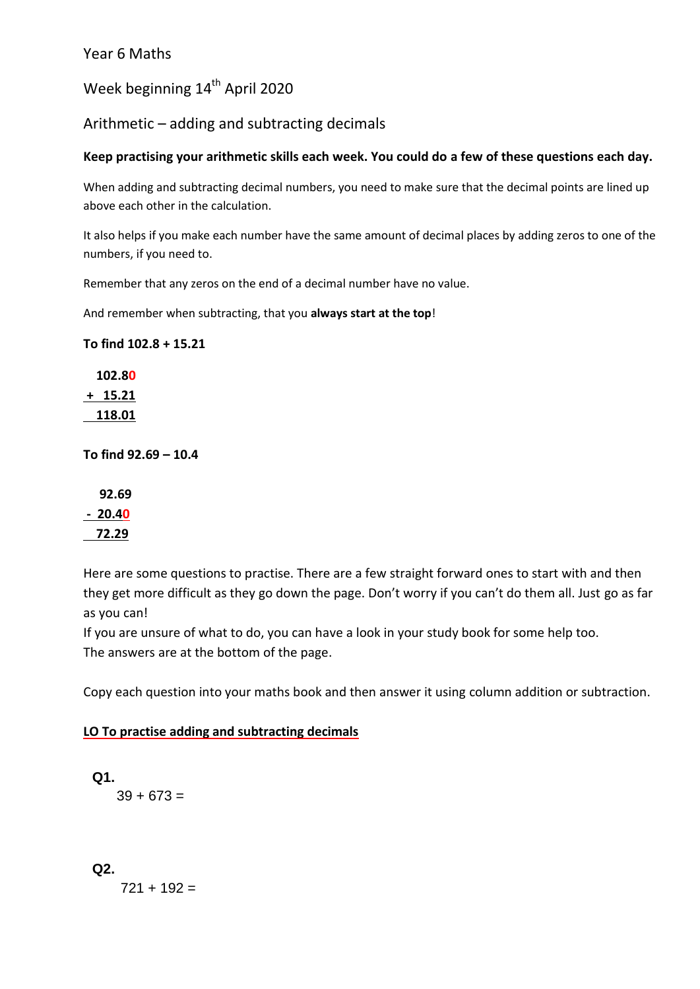#### Year 6 Maths

Week beginning 14<sup>th</sup> April 2020

Arithmetic – adding and subtracting decimals

#### **Keep practising your arithmetic skills each week. You could do a few of these questions each day.**

When adding and subtracting decimal numbers, you need to make sure that the decimal points are lined up above each other in the calculation.

It also helps if you make each number have the same amount of decimal places by adding zeros to one of the numbers, if you need to.

Remember that any zeros on the end of a decimal number have no value.

And remember when subtracting, that you **always start at the top**!

**To find 102.8 + 15.21**

 **102.80 + 15.21 118.01**

**To find 92.69 – 10.4**

 **92.69 - 20.40 72.29**

Here are some questions to practise. There are a few straight forward ones to start with and then they get more difficult as they go down the page. Don't worry if you can't do them all. Just go as far as you can!

If you are unsure of what to do, you can have a look in your study book for some help too. The answers are at the bottom of the page.

Copy each question into your maths book and then answer it using column addition or subtraction.

#### **LO To practise adding and subtracting decimals**

**Q1.**  $39 + 673 =$ 

**Q2.**

 $721 + 192 =$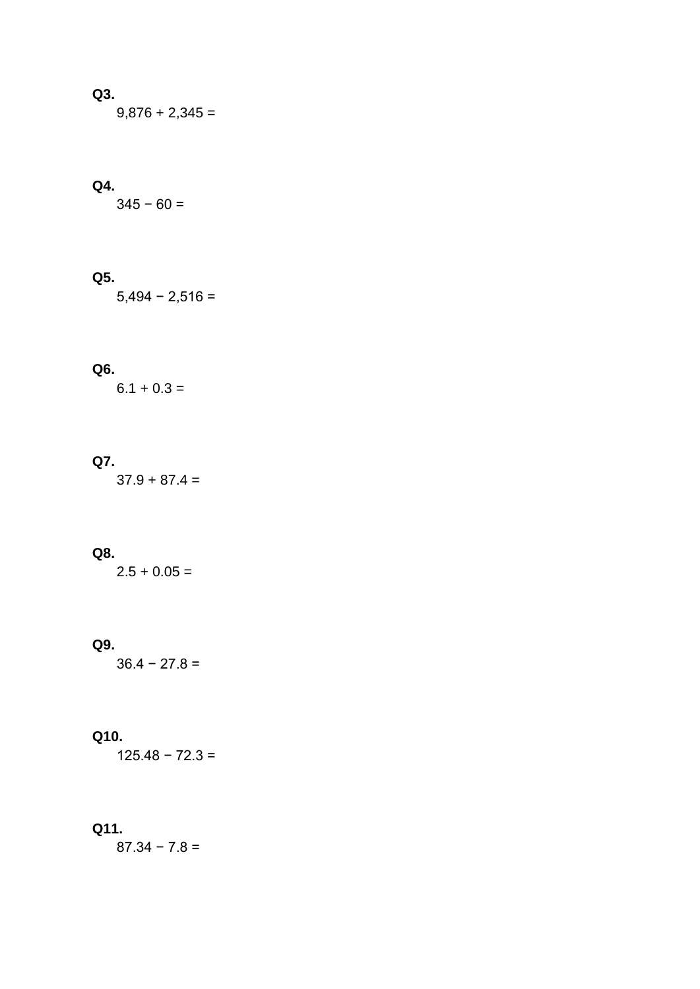### **Q3.**

 $9,876 + 2,345 =$ 

#### **Q4.**

 $345 - 60 =$ 

# **Q5.**

 $5,494 - 2,516 =$ 

#### **Q6.**

 $6.1 + 0.3 =$ 

### **Q7.**

 $37.9 + 87.4 =$ 

#### **Q8.**

 $2.5 + 0.05 =$ 

#### **Q9.**

 $36.4 - 27.8 =$ 

#### **Q10.**

125.48 − 72.3 =

#### **Q11.**

 $87.34 - 7.8 =$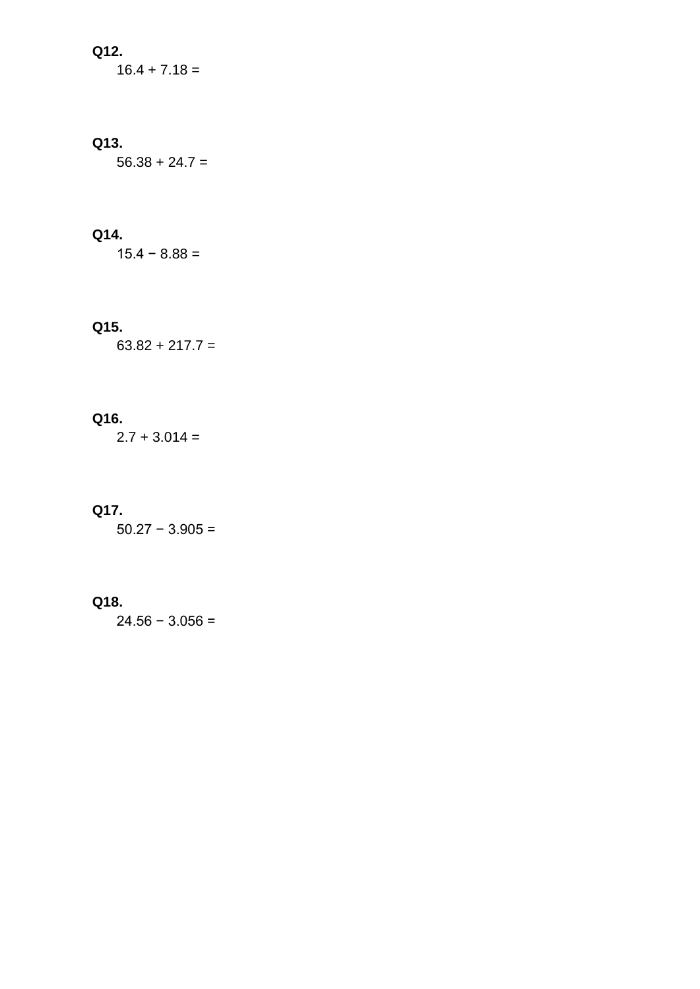#### **Q12.**

 $16.4 + 7.18 =$ 

#### **Q13.**

 $56.38 + 24.7 =$ 

#### **Q14.**

 $15.4 - 8.88 =$ 

#### **Q15.**

 $63.82 + 217.7 =$ 

#### **Q16.**

 $2.7 + 3.014 =$ 

#### **Q17.**

50.27 − 3.905 =

#### **Q18.**

24.56 − 3.056 =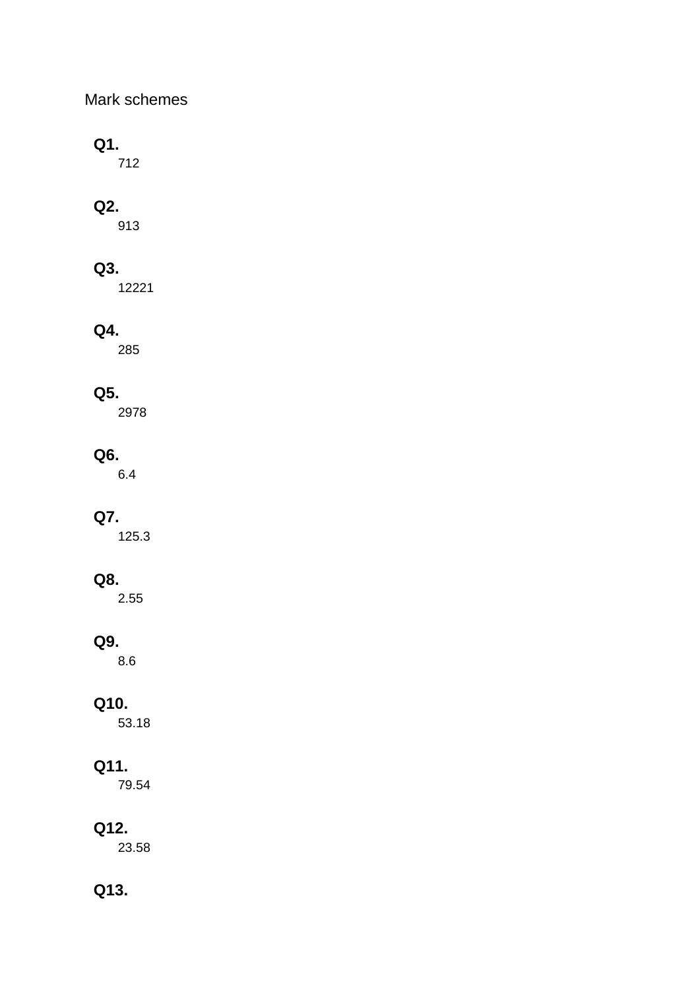### Mark schemes

## **Q1.**

712

# **Q2.**

913

## **Q3.**

12221

## **Q4.**

285

## **Q5.**

2978

## **Q6.**

6.4

## **Q7.**

125.3

## **Q8.**

2.55

## **Q9.**

8.6

## **Q10.**

53.18

## **Q11.**

79.54

## **Q12.**

23.58

# **Q13.**